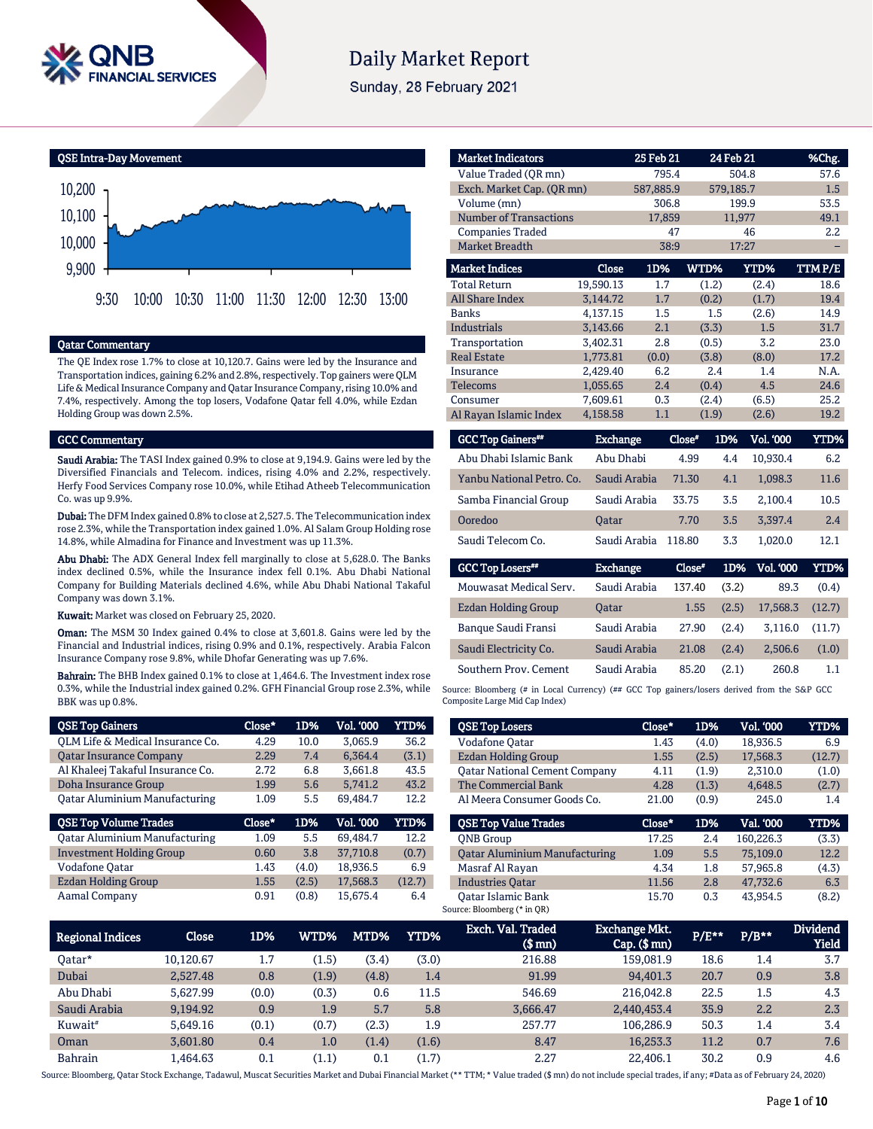

# **Daily Market Report**

Sunday, 28 February 2021

QSE Intra-Day Movement 9,900 10,000 10,100 10,200 9:30 10:00 10:30 11:00 11:30 12:00 12:30 13:00

## Qatar Commentary

The QE Index rose 1.7% to close at 10,120.7. Gains were led by the Insurance and Transportation indices, gaining 6.2% and 2.8%, respectively. Top gainers were QLM Life & Medical Insurance Company and Qatar Insurance Company, rising 10.0% and 7.4%, respectively. Among the top losers, Vodafone Qatar fell 4.0%, while Ezdan Holding Group was down 2.5%.

### GCC Commentary

Saudi Arabia: The TASI Index gained 0.9% to close at 9,194.9. Gains were led by the Diversified Financials and Telecom. indices, rising 4.0% and 2.2%, respectively. Herfy Food Services Company rose 10.0%, while Etihad Atheeb Telecommunication Co. was up 9.9%.

Dubai: The DFM Index gained 0.8% to close at 2,527.5. The Telecommunication index rose 2.3%, while the Transportation index gained 1.0%. Al Salam Group Holding rose 14.8%, while Almadina for Finance and Investment was up 11.3%.

Abu Dhabi: The ADX General Index fell marginally to close at 5,628.0. The Banks index declined 0.5%, while the Insurance index fell 0.1%. Abu Dhabi National Company for Building Materials declined 4.6%, while Abu Dhabi National Takaful Company was down 3.1%.

Kuwait: Market was closed on February 25, 2020.

Oman: The MSM 30 Index gained 0.4% to close at 3,601.8. Gains were led by the Financial and Industrial indices, rising 0.9% and 0.1%, respectively. Arabia Falcon Insurance Company rose 9.8%, while Dhofar Generating was up 7.6%.

Bahrain: The BHB Index gained 0.1% to close at 1,464.6. The Investment index rose 0.3%, while the Industrial index gained 0.2%. GFH Financial Group rose 2.3%, while BBK was up 0.8%.

| <b>QSE Top Gainers</b>               | Close* | 1D%   | Vol. '000 | YTD%   |
|--------------------------------------|--------|-------|-----------|--------|
| QLM Life & Medical Insurance Co.     | 4.29   | 10.0  | 3.065.9   | 36.2   |
| <b>Qatar Insurance Company</b>       | 2.29   | 7.4   | 6.364.4   | (3.1)  |
| Al Khaleej Takaful Insurance Co.     | 2.72   | 6.8   | 3,661.8   | 43.5   |
| Doha Insurance Group                 | 1.99   | 5.6   | 5.741.2   | 43.2   |
| <b>Qatar Aluminium Manufacturing</b> | 1.09   | 5.5   | 69.484.7  | 12.2   |
|                                      |        |       |           |        |
| <b>QSE Top Volume Trades</b>         | Close* | 1D%   | Vol. '000 | YTD%   |
| <b>Qatar Aluminium Manufacturing</b> | 1.09   | 5.5   | 69.484.7  | 12.2   |
| <b>Investment Holding Group</b>      | 0.60   | 3.8   | 37,710.8  | (0.7)  |
| Vodafone Qatar                       | 1.43   | (4.0) | 18,936.5  | 6.9    |
| <b>Ezdan Holding Group</b>           | 1.55   | (2.5) | 17.568.3  | (12.7) |

| <b>Market Indicators</b>             |                 | 25 Feb 21 |        | 24 Feb 21               | %Chg.   |
|--------------------------------------|-----------------|-----------|--------|-------------------------|---------|
| Value Traded (OR mn)                 |                 | 795.4     |        | 504.8                   | 57.6    |
| Exch. Market Cap. (QR mn)            |                 | 587,885.9 |        | 579,185.7               | 1.5     |
| Volume (mn)                          |                 | 306.8     |        | 199.9                   | 53.5    |
| <b>Number of Transactions</b>        |                 | 17,859    |        | 11,977                  | 49.1    |
| <b>Companies Traded</b>              |                 | 47        |        | 46                      | 2.2     |
| <b>Market Breadth</b>                |                 | 38:9      |        | 17:27                   |         |
| <b>Market Indices</b>                | Close           | 1D%       | WTD%   | YTD%                    | TTM P/E |
| <b>Total Return</b>                  | 19,590.13       | 1.7       | (1.2)  | (2.4)                   | 18.6    |
| <b>All Share Index</b>               | 3.144.72        | 1.7       | (0.2)  | (1.7)                   | 19.4    |
| <b>Banks</b>                         | 4,137.15        | 1.5       | 1.5    | (2.6)                   | 14.9    |
| <b>Industrials</b>                   | 3,143.66        | 2.1       | (3.3)  | 1.5                     | 31.7    |
| Transportation                       | 3,402.31        | 2.8       | (0.5)  | 3.2                     | 23.0    |
| <b>Real Estate</b>                   | 1,773.81        | (0.0)     | (3.8)  | (8.0)                   | 17.2    |
| Insurance                            | 2,429.40        | 6.2       | 2.4    | 1.4                     | N.A.    |
| <b>Telecoms</b>                      | 1,055.65        | 2.4       | (0.4)  | 4.5                     | 24.6    |
| Consumer                             | 7,609.61        | 0.3       | (2.4)  | (6.5)                   | 25.2    |
| Al Rayan Islamic Index               | 4,158.58        | 1.1       | (1.9)  | (2.6)                   | 19.2    |
| <b>GCC Top Gainers</b> <sup>##</sup> | <b>Exchange</b> |           | Close* | 1D%<br><b>Vol. '000</b> | YTD%    |
| Abu Dhabi Islamic Bank               | Abu Dhabi       |           | 4.99   | 10.930.4<br>4.4         | 6.2     |

| Abu Dhabi Islamic Bank    | Abu Dhabi       | 4.99   | 4.4   | 10.930.4  | 6.2         |
|---------------------------|-----------------|--------|-------|-----------|-------------|
| Yanbu National Petro, Co. | Saudi Arabia    | 71.30  | 4.1   | 1,098.3   | 11.6        |
| Samba Financial Group     | Saudi Arabia    | 33.75  | 3.5   | 2.100.4   | 10.5        |
| Ooredoo                   | Oatar           | 7.70   | 3.5   | 3,397.4   | 2.4         |
| Saudi Telecom Co.         | Saudi Arabia    | 118.80 | 3.3   | 1.020.0   | 12.1        |
|                           |                 |        |       |           |             |
| <b>GCC Top Losers**</b>   | <b>Exchange</b> | Close" | 1D%   | Vol. '000 | <b>YTD%</b> |
| Mouwasat Medical Serv.    | Saudi Arabia    | 137.40 | (3.2) | 89.3      | (0.4)       |
| Ezdan Holding Group       | Oatar           | 1.55   | (2.5) | 17,568.3  | (12.7)      |
| Banque Saudi Fransi       | Saudi Arabia    | 27.90  | (2.4) | 3.116.0   | (11.7)      |

Source: Bloomberg (# in Local Currency) (## GCC Top gainers/losers derived from the S&P GCC Composite Large Mid Cap Index)

Southern Prov. Cement Saudi Arabia 85.20 (2.1) 260.8 1.1

| <b>QSE Top Losers</b>                | Close* | 1D%   | Vol. '000 | YTD%   |
|--------------------------------------|--------|-------|-----------|--------|
| Vodafone Qatar                       | 1.43   | (4.0) | 18.936.5  | 6.9    |
| Ezdan Holding Group                  | 1.55   | (2.5) | 17.568.3  | (12.7) |
| <b>Qatar National Cement Company</b> | 4.11   | (1.9) | 2,310.0   | (1.0)  |
| The Commercial Bank                  | 4.28   | (1.3) | 4.648.5   | (2.7)  |
| Al Meera Consumer Goods Co.          | 21.00  | (0.9) | 245.0     | 1.4    |
|                                      |        |       |           |        |
| <b>OSE Top Value Trades</b>          | Close* | 1D%   | Val. '000 | YTD%   |
| <b>ONB</b> Group                     | 17.25  | 2.4   | 160.226.3 | (3.3)  |
| <b>Qatar Aluminium Manufacturing</b> | 1.09   | 5.5   | 75.109.0  | 12.2   |
| Masraf Al Rayan                      | 4.34   | 1.8   | 57.965.8  | (4.3)  |
| <b>Industries Qatar</b>              | 11.56  | 2.8   | 47.732.6  | 6.3    |

| <b>Regional Indices</b> | Close     | 1D%   | WTD%  | MTD%  | <b>YTD%</b> | Exch. Val. Traded<br>$$$ mn $)$ | <b>Exchange Mkt.</b><br>$Cap.$ (\$ $mn$ ) | P/E** | $P/B**$ | <b>Dividend</b><br><b>Yield</b> |
|-------------------------|-----------|-------|-------|-------|-------------|---------------------------------|-------------------------------------------|-------|---------|---------------------------------|
| Oatar*                  | 10.120.67 | 1.7   | (1.5) | (3.4) | (3.0)       | 216.88                          | 159.081.9                                 | 18.6  | 1.4     | 3.7                             |
| Dubai                   | 2.527.48  | 0.8   | (1.9) | (4.8) | 1.4         | 91.99                           | 94.401.3                                  | 20.7  | 0.9     | 3.8                             |
| Abu Dhabi               | 5.627.99  | (0.0) | (0.3) | 0.6   | 11.5        | 546.69                          | 216.042.8                                 | 22.5  | 1.5     | 4.3                             |
| Saudi Arabia            | 9,194.92  | 0.9   | 1.9   | 5.7   | 5.8         | 3.666.47                        | 2,440,453.4                               | 35.9  | 2.2     | 2.3                             |
| Kuwait <sup>#</sup>     | 5.649.16  | (0.1) | (0.7) | (2.3) | 1.9         | 257.77                          | 106.286.9                                 | 50.3  | 1.4     | 3.4                             |
| Oman                    | 3.601.80  | 0.4   | 1.0   | (1.4) | (1.6)       | 8.47                            | 16,253.3                                  | 11.2  | 0.7     | 7.6                             |
| <b>Bahrain</b>          | 1,464.63  | 0.1   | (1.1) | 0.1   | (1.7)       | 2.27                            | 22,406.1                                  | 30.2  | 0.9     | 4.6                             |

Source: Bloomberg, Qatar Stock Exchange, Tadawul, Muscat Securities Market and Dubai Financial Market (\*\* TTM; \* Value traded (\$ mn) do not include special trades, if any; #Data as of February 24, 2020)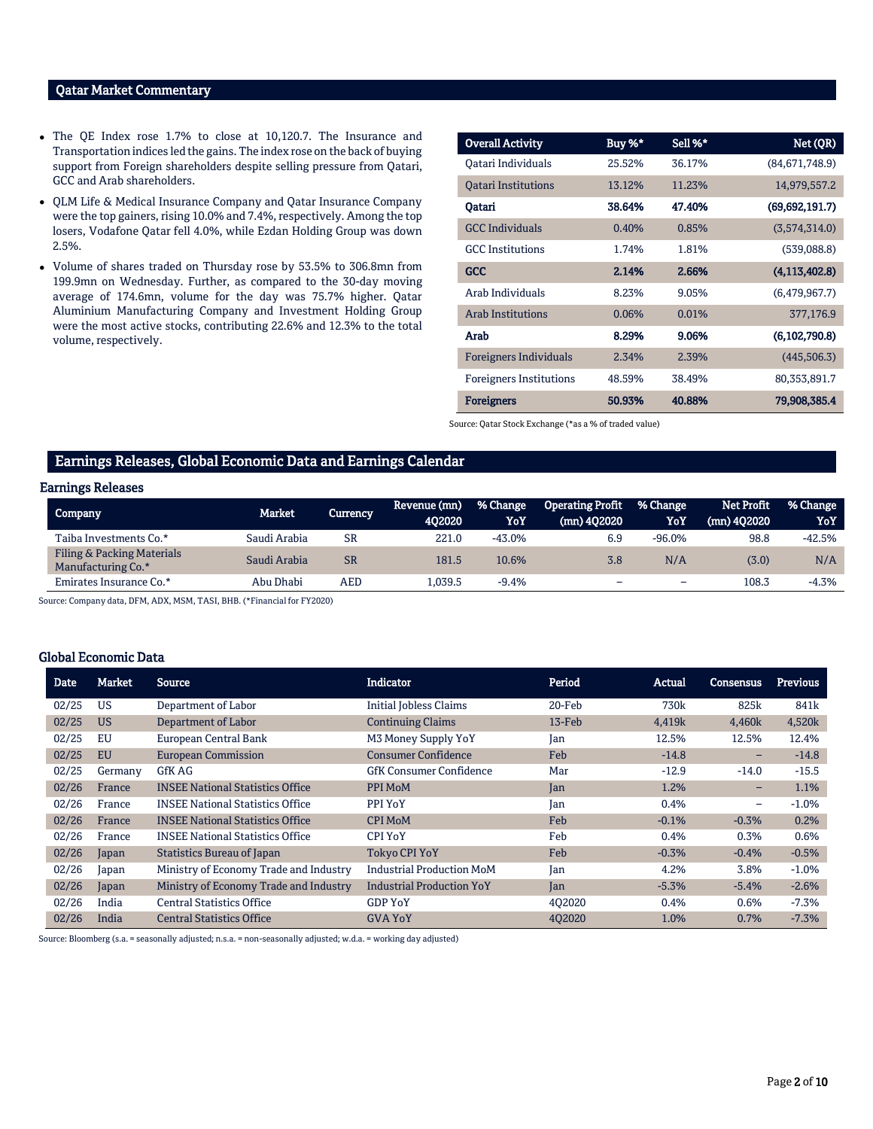# Qatar Market Commentary

- The QE Index rose 1.7% to close at 10,120.7. The Insurance and Transportation indices led the gains. The index rose on the back of buying support from Foreign shareholders despite selling pressure from Qatari, GCC and Arab shareholders.
- QLM Life & Medical Insurance Company and Qatar Insurance Company were the top gainers, rising 10.0% and 7.4%, respectively. Among the top losers, Vodafone Qatar fell 4.0%, while Ezdan Holding Group was down 2.5%.
- Volume of shares traded on Thursday rose by 53.5% to 306.8mn from 199.9mn on Wednesday. Further, as compared to the 30-day moving average of 174.6mn, volume for the day was 75.7% higher. Qatar Aluminium Manufacturing Company and Investment Holding Group were the most active stocks, contributing 22.6% and 12.3% to the total volume, respectively.

| <b>Overall Activity</b>        | Buy %* | Sell %* | Net (QR)         |
|--------------------------------|--------|---------|------------------|
| Oatari Individuals             | 25.52% | 36.17%  | (84,671,748.9)   |
| <b>Oatari Institutions</b>     | 13.12% | 11.23%  | 14,979,557.2     |
| Oatari                         | 38.64% | 47.40%  | (69, 692, 191.7) |
| <b>GCC</b> Individuals         | 0.40%  | 0.85%   | (3,574,314.0)    |
| <b>GCC</b> Institutions        | 1.74%  | 1.81%   | (539,088.8)      |
| <b>GCC</b>                     | 2.14%  | 2.66%   | (4, 113, 402.8)  |
| Arab Individuals               | 8.23%  | 9.05%   | (6,479,967.7)    |
| <b>Arab Institutions</b>       | 0.06%  | 0.01%   | 377,176.9        |
| Arab                           | 8.29%  | 9.06%   | (6,102,790.8)    |
| Foreigners Individuals         | 2.34%  | 2.39%   | (445, 506.3)     |
| <b>Foreigners Institutions</b> | 48.59% | 38.49%  | 80,353,891.7     |
| <b>Foreigners</b>              | 50.93% | 40.88%  | 79,908,385.4     |

Source: Qatar Stock Exchange (\*as a % of traded value)

### Earnings Releases, Global Economic Data and Earnings Calendar

### Earnings Releases

| Company                                          | Market       | 'Currency  | Revenue (mn)<br>402020 | % Change<br>YoY | <b>Operating Profit</b><br>$(mn)$ 402020 | % Change<br>YoY | Net Profit<br>$(mn)$ 402020 | . % Change<br>YoY |
|--------------------------------------------------|--------------|------------|------------------------|-----------------|------------------------------------------|-----------------|-----------------------------|-------------------|
| Taiba Investments Co.*                           | Saudi Arabia | <b>SR</b>  | 221.0                  | $-43.0\%$       | 6.9                                      | $-96.0\%$       | 98.8                        | $-42.5%$          |
| Filing & Packing Materials<br>Manufacturing Co.* | Saudi Arabia | <b>SR</b>  | 181.5                  | 10.6%           | 3.8                                      | N/A             | (3.0)                       | N/A               |
| Emirates Insurance Co.*                          | Abu Dhabi    | <b>AED</b> | .039.5                 | $-9.4%$         | -                                        | -               | 108.3                       | $-4.3%$           |

Source: Company data, DFM, ADX, MSM, TASI, BHB. (\*Financial for FY2020)

## Global Economic Data

| <b>Date</b> | Market    | <b>Source</b>                           | Indicator                        | Period    | Actual  | Consensus                | <b>Previous</b> |
|-------------|-----------|-----------------------------------------|----------------------------------|-----------|---------|--------------------------|-----------------|
| 02/25       | US        | Department of Labor                     | <b>Initial Jobless Claims</b>    | $20$ -Feb | 730k    | 825k                     | 841k            |
| 02/25       | <b>US</b> | Department of Labor                     | <b>Continuing Claims</b>         | 13-Feb    | 4,419k  | 4,460k                   | 4,520k          |
| 02/25       | EU        | European Central Bank                   | M3 Money Supply YoY              | Jan       | 12.5%   | 12.5%                    | 12.4%           |
| 02/25       | EU        | <b>European Commission</b>              | <b>Consumer Confidence</b>       | Feb       | $-14.8$ | -                        | $-14.8$         |
| 02/25       | Germany   | GfK AG                                  | <b>GfK Consumer Confidence</b>   | Mar       | $-12.9$ | $-14.0$                  | $-15.5$         |
| 02/26       | France    | <b>INSEE National Statistics Office</b> | PPI MoM                          | Jan       | 1.2%    | $\overline{\phantom{0}}$ | 1.1%            |
| 02/26       | France    | <b>INSEE National Statistics Office</b> | PPI YoY                          | Jan       | 0.4%    | -                        | $-1.0%$         |
| 02/26       | France    | <b>INSEE National Statistics Office</b> | <b>CPI MoM</b>                   | Feb       | $-0.1%$ | $-0.3%$                  | 0.2%            |
| 02/26       | France    | <b>INSEE National Statistics Office</b> | <b>CPI YoY</b>                   | Feb       | 0.4%    | 0.3%                     | 0.6%            |
| 02/26       | Japan     | <b>Statistics Bureau of Japan</b>       | <b>Tokyo CPI YoY</b>             | Feb       | $-0.3%$ | $-0.4%$                  | $-0.5%$         |
| 02/26       | Japan     | Ministry of Economy Trade and Industry  | <b>Industrial Production MoM</b> | Jan       | 4.2%    | 3.8%                     | $-1.0%$         |
| 02/26       | Japan     | Ministry of Economy Trade and Industry  | <b>Industrial Production YoY</b> | Jan       | $-5.3%$ | $-5.4%$                  | $-2.6%$         |
| 02/26       | India     | <b>Central Statistics Office</b>        | <b>GDP YoY</b>                   | 402020    | 0.4%    | 0.6%                     | $-7.3%$         |
| 02/26       | India     | <b>Central Statistics Office</b>        | <b>GVA YoY</b>                   | 402020    | 1.0%    | 0.7%                     | $-7.3%$         |

Source: Bloomberg (s.a. = seasonally adjusted; n.s.a. = non-seasonally adjusted; w.d.a. = working day adjusted)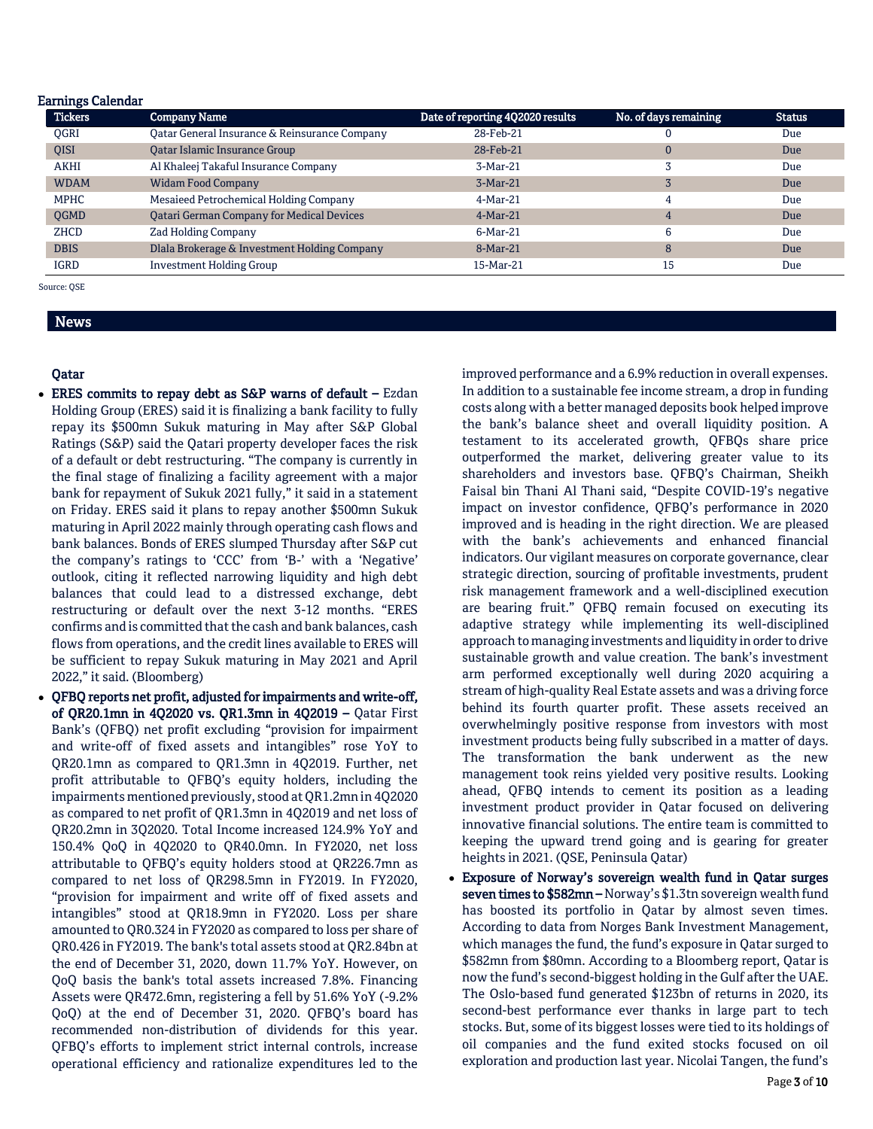| <b>Earnings Calendar</b> |                                                  |                                  |                       |               |
|--------------------------|--------------------------------------------------|----------------------------------|-----------------------|---------------|
| <b>Tickers</b>           | <b>Company Name</b>                              | Date of reporting 4Q2020 results | No. of days remaining | <b>Status</b> |
| <b>OGRI</b>              | Qatar General Insurance & Reinsurance Company    | 28-Feb-21                        |                       | Due           |
| <b>OISI</b>              | Qatar Islamic Insurance Group                    | 28-Feb-21                        | 0                     | Due           |
| <b>AKHI</b>              | Al Khaleej Takaful Insurance Company             | $3-Mar-21$                       |                       | Due           |
| <b>WDAM</b>              | <b>Widam Food Company</b>                        | $3-Mar-21$                       |                       | <b>Due</b>    |
| <b>MPHC</b>              | Mesaieed Petrochemical Holding Company           | $4-Mar-21$                       | 4                     | Due           |
| QGMD                     | <b>Qatari German Company for Medical Devices</b> | $4-Mar-21$                       | 4                     | <b>Due</b>    |
| <b>ZHCD</b>              | Zad Holding Company                              | $6-Mar-21$                       | 6                     | Due           |
| <b>DBIS</b>              | Dlala Brokerage & Investment Holding Company     | 8-Mar-21                         | 8                     | Due           |
| <b>IGRD</b>              | <b>Investment Holding Group</b>                  | 15-Mar-21                        | 15                    | Due           |

Source: QSE

News

# Qatar

- ERES commits to repay debt as S&P warns of default Ezdan Holding Group (ERES) said it is finalizing a bank facility to fully repay its \$500mn Sukuk maturing in May after S&P Global Ratings (S&P) said the Qatari property developer faces the risk of a default or debt restructuring. "The company is currently in the final stage of finalizing a facility agreement with a major bank for repayment of Sukuk 2021 fully," it said in a statement on Friday. ERES said it plans to repay another \$500mn Sukuk maturing in April 2022 mainly through operating cash flows and bank balances. Bonds of ERES slumped Thursday after S&P cut the company's ratings to 'CCC' from 'B-' with a 'Negative' outlook, citing it reflected narrowing liquidity and high debt balances that could lead to a distressed exchange, debt restructuring or default over the next 3-12 months. "ERES confirms and is committed that the cash and bank balances, cash flows from operations, and the credit lines available to ERES will be sufficient to repay Sukuk maturing in May 2021 and April 2022," it said. (Bloomberg)
- QFBQ reports net profit, adjusted for impairments and write-off, of QR20.1mn in 4Q2020 vs. QR1.3mn in 4Q2019 – Qatar First Bank's (QFBQ) net profit excluding "provision for impairment and write-off of fixed assets and intangibles" rose YoY to QR20.1mn as compared to QR1.3mn in 4Q2019. Further, net profit attributable to QFBQ's equity holders, including the impairments mentioned previously, stood at QR1.2mn in 4Q2020 as compared to net profit of QR1.3mn in 4Q2019 and net loss of QR20.2mn in 3Q2020. Total Income increased 124.9% YoY and 150.4% QoQ in 4Q2020 to QR40.0mn. In FY2020, net loss attributable to QFBQ's equity holders stood at QR226.7mn as compared to net loss of QR298.5mn in FY2019. In FY2020, "provision for impairment and write off of fixed assets and intangibles" stood at QR18.9mn in FY2020. Loss per share amounted to QR0.324 in FY2020 as compared to loss per share of QR0.426 in FY2019. The bank's total assets stood at QR2.84bn at the end of December 31, 2020, down 11.7% YoY. However, on QoQ basis the bank's total assets increased 7.8%. Financing Assets were QR472.6mn, registering a fell by 51.6% YoY (-9.2% QoQ) at the end of December 31, 2020. QFBQ's board has recommended non-distribution of dividends for this year. QFBQ's efforts to implement strict internal controls, increase operational efficiency and rationalize expenditures led to the

improved performance and a 6.9% reduction in overall expenses. In addition to a sustainable fee income stream, a drop in funding costs along with a better managed deposits book helped improve the bank's balance sheet and overall liquidity position. A testament to its accelerated growth, QFBQs share price outperformed the market, delivering greater value to its shareholders and investors base. QFBQ's Chairman, Sheikh Faisal bin Thani Al Thani said, "Despite COVID-19's negative impact on investor confidence, QFBQ's performance in 2020 improved and is heading in the right direction. We are pleased with the bank's achievements and enhanced financial indicators. Our vigilant measures on corporate governance, clear strategic direction, sourcing of profitable investments, prudent risk management framework and a well-disciplined execution are bearing fruit." QFBQ remain focused on executing its adaptive strategy while implementing its well-disciplined approach to managing investments and liquidity in order to drive sustainable growth and value creation. The bank's investment arm performed exceptionally well during 2020 acquiring a stream of high-quality Real Estate assets and was a driving force behind its fourth quarter profit. These assets received an overwhelmingly positive response from investors with most investment products being fully subscribed in a matter of days. The transformation the bank underwent as the new management took reins yielded very positive results. Looking ahead, QFBQ intends to cement its position as a leading investment product provider in Qatar focused on delivering innovative financial solutions. The entire team is committed to keeping the upward trend going and is gearing for greater heights in 2021. (QSE, Peninsula Qatar)

 Exposure of Norway's sovereign wealth fund in Qatar surges seven times to \$582mn – Norway's \$1.3tn sovereign wealth fund has boosted its portfolio in Qatar by almost seven times. According to data from Norges Bank Investment Management, which manages the fund, the fund's exposure in Qatar surged to \$582mn from \$80mn. According to a Bloomberg report, Qatar is now the fund's second-biggest holding in the Gulf after the UAE. The Oslo-based fund generated \$123bn of returns in 2020, its second-best performance ever thanks in large part to tech stocks. But, some of its biggest losses were tied to its holdings of oil companies and the fund exited stocks focused on oil exploration and production last year. Nicolai Tangen, the fund's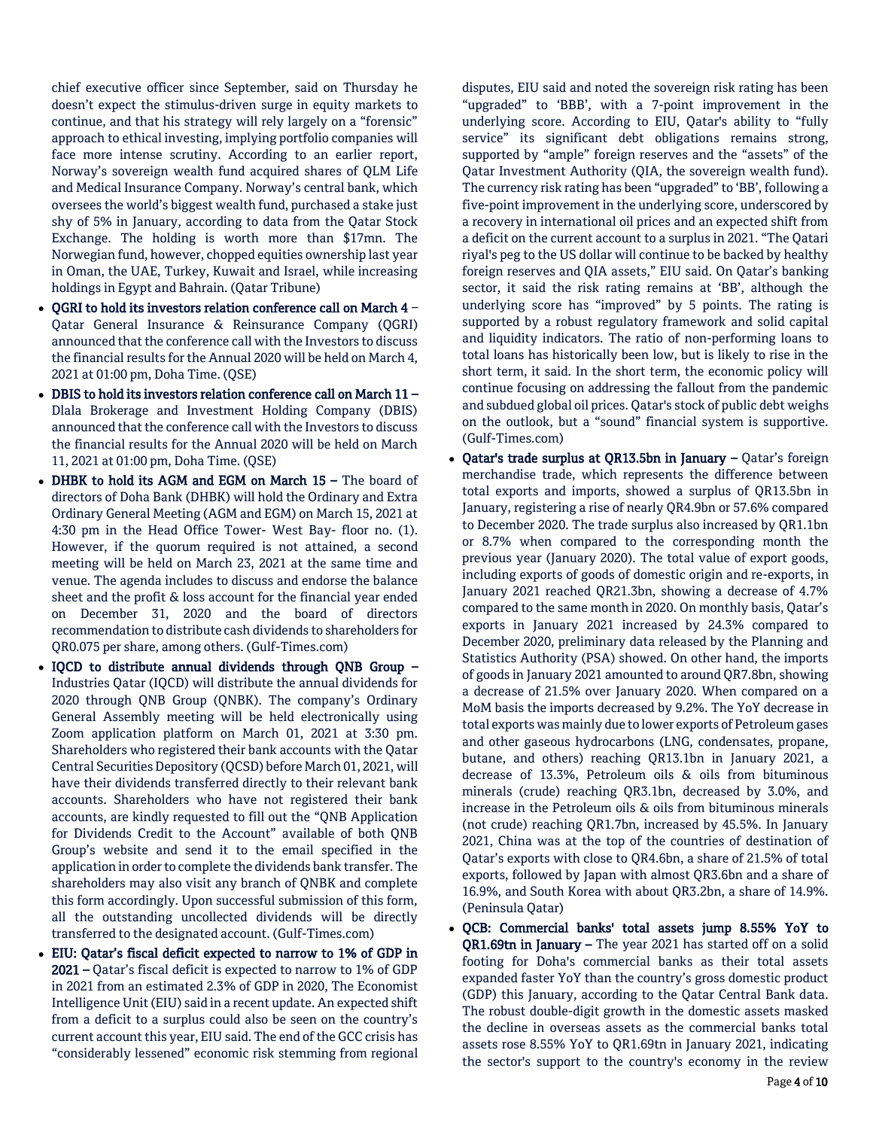chief executive officer since September, said on Thursday he doesn't expect the stimulus-driven surge in equity markets to continue, and that his strategy will rely largely on a "forensic" approach to ethical investing, implying portfolio companies will face more intense scrutiny. According to an earlier report, Norway's sovereign wealth fund acquired shares of QLM Life and Medical Insurance Company. Norway's central bank, which oversees the world's biggest wealth fund, purchased a stake just shy of 5% in January, according to data from the Qatar Stock Exchange. The holding is worth more than \$17mn. The Norwegian fund, however, chopped equities ownership last year in Oman, the UAE, Turkey, Kuwait and Israel, while increasing holdings in Egypt and Bahrain. (Qatar Tribune)

- OGRI to hold its investors relation conference call on March 4 Qatar General Insurance & Reinsurance Company (QGRI) announced that the conference call with the Investors to discuss the financial results for the Annual 2020 will be held on March 4, 2021 at 01:00 pm, Doha Time. (QSE)
- DBIS to hold its investors relation conference call on March 11 Dlala Brokerage and Investment Holding Company (DBIS) announced that the conference call with the Investors to discuss the financial results for the Annual 2020 will be held on March 11, 2021 at 01:00 pm, Doha Time. (QSE)
- DHBK to hold its AGM and EGM on March 15 The board of directors of Doha Bank (DHBK) will hold the Ordinary and Extra Ordinary General Meeting (AGM and EGM) on March 15, 2021 at 4:30 pm in the Head Office Tower- West Bay- floor no. (1). However, if the quorum required is not attained, a second meeting will be held on March 23, 2021 at the same time and venue. The agenda includes to discuss and endorse the balance sheet and the profit & loss account for the financial year ended on December 31, 2020 and the board of directors recommendation to distribute cash dividends to shareholders for QR0.075 per share, among others. (Gulf-Times.com)
- IQCD to distribute annual dividends through QNB Group Industries Qatar (IQCD) will distribute the annual dividends for 2020 through QNB Group (QNBK). The company's Ordinary General Assembly meeting will be held electronically using Zoom application platform on March 01, 2021 at 3:30 pm. Shareholders who registered their bank accounts with the Qatar Central Securities Depository (QCSD) before March 01, 2021, will have their dividends transferred directly to their relevant bank accounts. Shareholders who have not registered their bank accounts, are kindly requested to fill out the "QNB Application for Dividends Credit to the Account" available of both QNB Group's website and send it to the email specified in the application in order to complete the dividends bank transfer. The shareholders may also visit any branch of QNBK and complete this form accordingly. Upon successful submission of this form, all the outstanding uncollected dividends will be directly transferred to the designated account. (Gulf-Times.com)
- EIU: Qatar's fiscal deficit expected to narrow to 1% of GDP in 2021 – Qatar's fiscal deficit is expected to narrow to 1% of GDP in 2021 from an estimated 2.3% of GDP in 2020, The Economist Intelligence Unit (EIU) said in a recent update. An expected shift from a deficit to a surplus could also be seen on the country's current account this year, EIU said. The end of the GCC crisis has "considerably lessened" economic risk stemming from regional

disputes, EIU said and noted the sovereign risk rating has been "upgraded" to 'BBB', with a 7-point improvement in the underlying score. According to EIU, Qatar's ability to "fully service" its significant debt obligations remains strong, supported by "ample" foreign reserves and the "assets" of the Qatar Investment Authority (QIA, the sovereign wealth fund). The currency risk rating has been "upgraded" to 'BB', following a five-point improvement in the underlying score, underscored by a recovery in international oil prices and an expected shift from a deficit on the current account to a surplus in 2021. "The Qatari riyal's peg to the US dollar will continue to be backed by healthy foreign reserves and QIA assets," EIU said. On Qatar's banking sector, it said the risk rating remains at 'BB', although the underlying score has "improved" by 5 points. The rating is supported by a robust regulatory framework and solid capital and liquidity indicators. The ratio of non-performing loans to total loans has historically been low, but is likely to rise in the short term, it said. In the short term, the economic policy will continue focusing on addressing the fallout from the pandemic and subdued global oil prices. Qatar's stock of public debt weighs on the outlook, but a "sound" financial system is supportive. (Gulf-Times.com)

- Qatar's trade surplus at QR13.5bn in January Qatar's foreign merchandise trade, which represents the difference between total exports and imports, showed a surplus of QR13.5bn in January, registering a rise of nearly QR4.9bn or 57.6% compared to December 2020. The trade surplus also increased by QR1.1bn or 8.7% when compared to the corresponding month the previous year (January 2020). The total value of export goods, including exports of goods of domestic origin and re-exports, in January 2021 reached QR21.3bn, showing a decrease of 4.7% compared to the same month in 2020. On monthly basis, Qatar's exports in January 2021 increased by 24.3% compared to December 2020, preliminary data released by the Planning and Statistics Authority (PSA) showed. On other hand, the imports of goods in January 2021 amounted to around QR7.8bn, showing a decrease of 21.5% over January 2020. When compared on a MoM basis the imports decreased by 9.2%. The YoY decrease in total exports was mainly due to lower exports of Petroleum gases and other gaseous hydrocarbons (LNG, condensates, propane, butane, and others) reaching QR13.1bn in January 2021, a decrease of 13.3%, Petroleum oils & oils from bituminous minerals (crude) reaching QR3.1bn, decreased by 3.0%, and increase in the Petroleum oils & oils from bituminous minerals (not crude) reaching QR1.7bn, increased by 45.5%. In January 2021, China was at the top of the countries of destination of Qatar's exports with close to QR4.6bn, a share of 21.5% of total exports, followed by Japan with almost QR3.6bn and a share of 16.9%, and South Korea with about QR3.2bn, a share of 14.9%. (Peninsula Qatar)
- QCB: Commercial banks' total assets jump 8.55% YoY to QR1.69tn in January – The year 2021 has started off on a solid footing for Doha's commercial banks as their total assets expanded faster YoY than the country's gross domestic product (GDP) this January, according to the Qatar Central Bank data. The robust double-digit growth in the domestic assets masked the decline in overseas assets as the commercial banks total assets rose 8.55% YoY to QR1.69tn in January 2021, indicating the sector's support to the country's economy in the review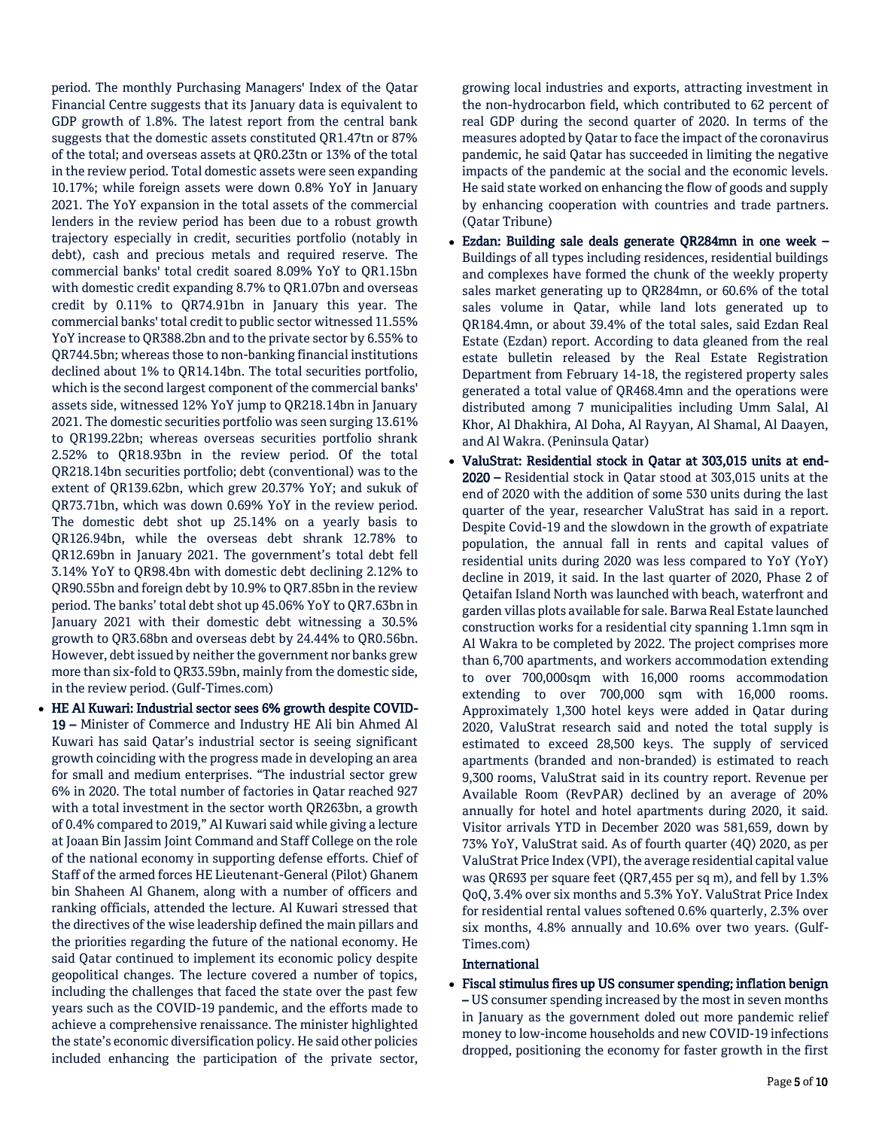period. The monthly Purchasing Managers' Index of the Qatar Financial Centre suggests that its January data is equivalent to GDP growth of 1.8%. The latest report from the central bank suggests that the domestic assets constituted QR1.47tn or 87% of the total; and overseas assets at QR0.23tn or 13% of the total in the review period. Total domestic assets were seen expanding 10.17%; while foreign assets were down 0.8% YoY in January 2021. The YoY expansion in the total assets of the commercial lenders in the review period has been due to a robust growth trajectory especially in credit, securities portfolio (notably in debt), cash and precious metals and required reserve. The commercial banks' total credit soared 8.09% YoY to QR1.15bn with domestic credit expanding 8.7% to QR1.07bn and overseas credit by 0.11% to QR74.91bn in January this year. The commercial banks' total credit to public sector witnessed 11.55% YoY increase to QR388.2bn and to the private sector by 6.55% to QR744.5bn; whereas those to non-banking financial institutions declined about 1% to QR14.14bn. The total securities portfolio, which is the second largest component of the commercial banks' assets side, witnessed 12% YoY jump to QR218.14bn in January 2021. The domestic securities portfolio was seen surging 13.61% to QR199.22bn; whereas overseas securities portfolio shrank 2.52% to QR18.93bn in the review period. Of the total QR218.14bn securities portfolio; debt (conventional) was to the extent of QR139.62bn, which grew 20.37% YoY; and sukuk of QR73.71bn, which was down 0.69% YoY in the review period. The domestic debt shot up 25.14% on a yearly basis to QR126.94bn, while the overseas debt shrank 12.78% to QR12.69bn in January 2021. The government's total debt fell 3.14% YoY to QR98.4bn with domestic debt declining 2.12% to QR90.55bn and foreign debt by 10.9% to QR7.85bn in the review period. The banks' total debt shot up 45.06% YoY to QR7.63bn in January 2021 with their domestic debt witnessing a 30.5% growth to QR3.68bn and overseas debt by 24.44% to QR0.56bn. However, debt issued by neither the government nor banks grew more than six-fold to QR33.59bn, mainly from the domestic side, in the review period. (Gulf-Times.com)

 HE Al Kuwari: Industrial sector sees 6% growth despite COVID-19 – Minister of Commerce and Industry HE Ali bin Ahmed Al Kuwari has said Qatar's industrial sector is seeing significant growth coinciding with the progress made in developing an area for small and medium enterprises. "The industrial sector grew 6% in 2020. The total number of factories in Qatar reached 927 with a total investment in the sector worth QR263bn, a growth of 0.4% compared to 2019," Al Kuwari said while giving a lecture at Joaan Bin Jassim Joint Command and Staff College on the role of the national economy in supporting defense efforts. Chief of Staff of the armed forces HE Lieutenant-General (Pilot) Ghanem bin Shaheen Al Ghanem, along with a number of officers and ranking officials, attended the lecture. Al Kuwari stressed that the directives of the wise leadership defined the main pillars and the priorities regarding the future of the national economy. He said Qatar continued to implement its economic policy despite geopolitical changes. The lecture covered a number of topics, including the challenges that faced the state over the past few years such as the COVID-19 pandemic, and the efforts made to achieve a comprehensive renaissance. The minister highlighted the state's economic diversification policy. He said other policies included enhancing the participation of the private sector,

growing local industries and exports, attracting investment in the non-hydrocarbon field, which contributed to 62 percent of real GDP during the second quarter of 2020. In terms of the measures adopted by Qatar to face the impact of the coronavirus pandemic, he said Qatar has succeeded in limiting the negative impacts of the pandemic at the social and the economic levels. He said state worked on enhancing the flow of goods and supply by enhancing cooperation with countries and trade partners. (Qatar Tribune)

- Ezdan: Building sale deals generate QR284mn in one week Buildings of all types including residences, residential buildings and complexes have formed the chunk of the weekly property sales market generating up to QR284mn, or 60.6% of the total sales volume in Qatar, while land lots generated up to QR184.4mn, or about 39.4% of the total sales, said Ezdan Real Estate (Ezdan) report. According to data gleaned from the real estate bulletin released by the Real Estate Registration Department from February 14-18, the registered property sales generated a total value of QR468.4mn and the operations were distributed among 7 municipalities including Umm Salal, Al Khor, Al Dhakhira, Al Doha, Al Rayyan, Al Shamal, Al Daayen, and Al Wakra. (Peninsula Qatar)
- ValuStrat: Residential stock in Qatar at 303,015 units at end-2020 – Residential stock in Qatar stood at 303,015 units at the end of 2020 with the addition of some 530 units during the last quarter of the year, researcher ValuStrat has said in a report. Despite Covid-19 and the slowdown in the growth of expatriate population, the annual fall in rents and capital values of residential units during 2020 was less compared to YoY (YoY) decline in 2019, it said. In the last quarter of 2020, Phase 2 of Qetaifan Island North was launched with beach, waterfront and garden villas plots available for sale. Barwa Real Estate launched construction works for a residential city spanning 1.1mn sqm in Al Wakra to be completed by 2022. The project comprises more than 6,700 apartments, and workers accommodation extending to over 700,000sqm with 16,000 rooms accommodation extending to over 700,000 sqm with 16,000 rooms. Approximately 1,300 hotel keys were added in Qatar during 2020, ValuStrat research said and noted the total supply is estimated to exceed 28,500 keys. The supply of serviced apartments (branded and non-branded) is estimated to reach 9,300 rooms, ValuStrat said in its country report. Revenue per Available Room (RevPAR) declined by an average of 20% annually for hotel and hotel apartments during 2020, it said. Visitor arrivals YTD in December 2020 was 581,659, down by 73% YoY, ValuStrat said. As of fourth quarter (4Q) 2020, as per ValuStrat Price Index (VPI), the average residential capital value was QR693 per square feet (QR7,455 per sq m), and fell by 1.3% QoQ, 3.4% over six months and 5.3% YoY. ValuStrat Price Index for residential rental values softened 0.6% quarterly, 2.3% over six months, 4.8% annually and 10.6% over two years. (Gulf-Times.com)

# International

 Fiscal stimulus fires up US consumer spending; inflation benign – US consumer spending increased by the most in seven months in January as the government doled out more pandemic relief money to low-income households and new COVID-19 infections dropped, positioning the economy for faster growth in the first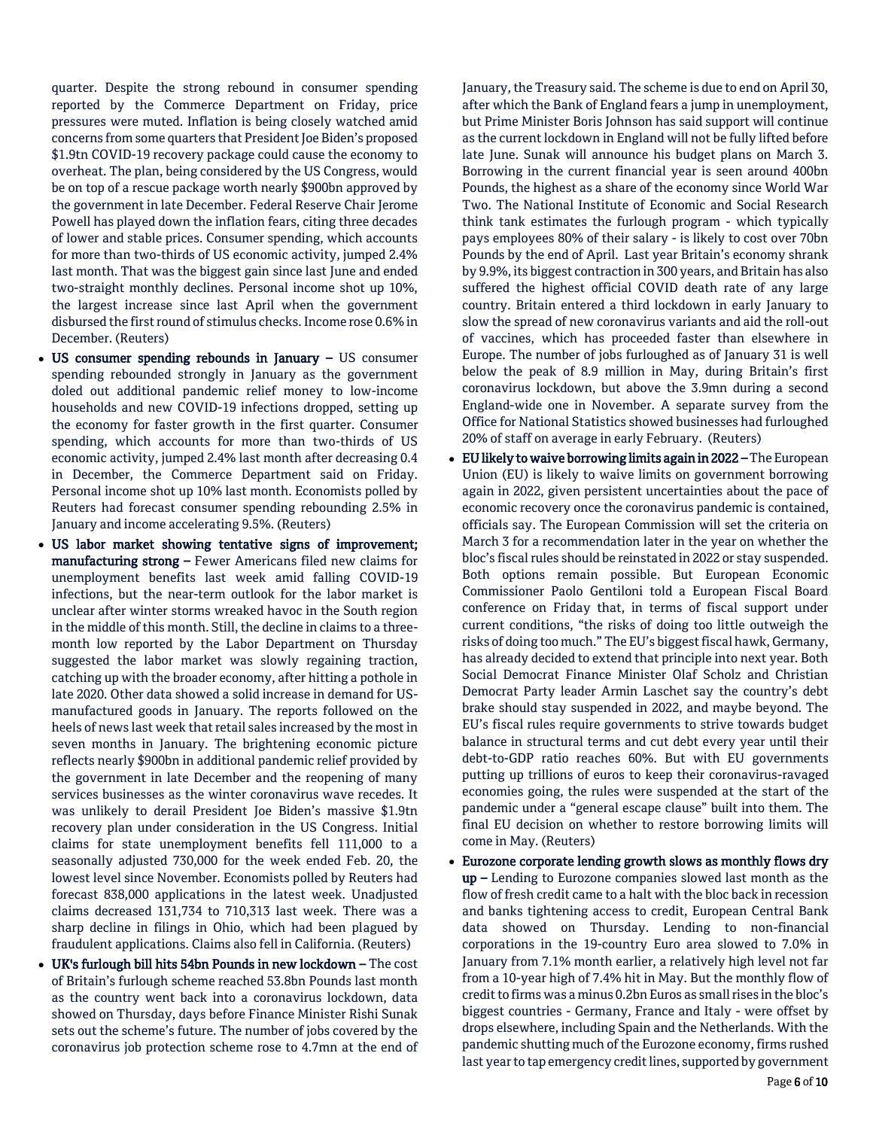quarter. Despite the strong rebound in consumer spending reported by the Commerce Department on Friday, price pressures were muted. Inflation is being closely watched amid concerns from some quarters that President Joe Biden's proposed \$1.9tn COVID-19 recovery package could cause the economy to overheat. The plan, being considered by the US Congress, would be on top of a rescue package worth nearly \$900bn approved by the government in late December. Federal Reserve Chair Jerome Powell has played down the inflation fears, citing three decades of lower and stable prices. Consumer spending, which accounts for more than two-thirds of US economic activity, jumped 2.4% last month. That was the biggest gain since last June and ended two-straight monthly declines. Personal income shot up 10%, the largest increase since last April when the government disbursed the first round of stimulus checks. Income rose 0.6% in December. (Reuters)

- US consumer spending rebounds in January US consumer spending rebounded strongly in January as the government doled out additional pandemic relief money to low-income households and new COVID-19 infections dropped, setting up the economy for faster growth in the first quarter. Consumer spending, which accounts for more than two-thirds of US economic activity, jumped 2.4% last month after decreasing 0.4 in December, the Commerce Department said on Friday. Personal income shot up 10% last month. Economists polled by Reuters had forecast consumer spending rebounding 2.5% in January and income accelerating 9.5%. (Reuters)
- US labor market showing tentative signs of improvement; manufacturing strong – Fewer Americans filed new claims for unemployment benefits last week amid falling COVID-19 infections, but the near-term outlook for the labor market is unclear after winter storms wreaked havoc in the South region in the middle of this month. Still, the decline in claims to a threemonth low reported by the Labor Department on Thursday suggested the labor market was slowly regaining traction, catching up with the broader economy, after hitting a pothole in late 2020. Other data showed a solid increase in demand for USmanufactured goods in January. The reports followed on the heels of news last week that retail sales increased by the most in seven months in January. The brightening economic picture reflects nearly \$900bn in additional pandemic relief provided by the government in late December and the reopening of many services businesses as the winter coronavirus wave recedes. It was unlikely to derail President Joe Biden's massive \$1.9tn recovery plan under consideration in the US Congress. Initial claims for state unemployment benefits fell 111,000 to a seasonally adjusted 730,000 for the week ended Feb. 20, the lowest level since November. Economists polled by Reuters had forecast 838,000 applications in the latest week. Unadjusted claims decreased 131,734 to 710,313 last week. There was a sharp decline in filings in Ohio, which had been plagued by fraudulent applications. Claims also fell in California. (Reuters)
- UK's furlough bill hits 54bn Pounds in new lockdown The cost of Britain's furlough scheme reached 53.8bn Pounds last month as the country went back into a coronavirus lockdown, data showed on Thursday, days before Finance Minister Rishi Sunak sets out the scheme's future. The number of jobs covered by the coronavirus job protection scheme rose to 4.7mn at the end of

January, the Treasury said. The scheme is due to end on April 30, after which the Bank of England fears a jump in unemployment, but Prime Minister Boris Johnson has said support will continue as the current lockdown in England will not be fully lifted before late June. Sunak will announce his budget plans on March 3. Borrowing in the current financial year is seen around 400bn Pounds, the highest as a share of the economy since World War Two. The National Institute of Economic and Social Research think tank estimates the furlough program - which typically pays employees 80% of their salary - is likely to cost over 70bn Pounds by the end of April. Last year Britain's economy shrank by 9.9%, its biggest contraction in 300 years, and Britain has also suffered the highest official COVID death rate of any large country. Britain entered a third lockdown in early January to slow the spread of new coronavirus variants and aid the roll-out of vaccines, which has proceeded faster than elsewhere in Europe. The number of jobs furloughed as of January 31 is well below the peak of 8.9 million in May, during Britain's first coronavirus lockdown, but above the 3.9mn during a second England-wide one in November. A separate survey from the Office for National Statistics showed businesses had furloughed 20% of staff on average in early February. (Reuters)

- EU likely to waive borrowing limits again in 2022 –The European Union (EU) is likely to waive limits on government borrowing again in 2022, given persistent uncertainties about the pace of economic recovery once the coronavirus pandemic is contained, officials say. The European Commission will set the criteria on March 3 for a recommendation later in the year on whether the bloc's fiscal rules should be reinstated in 2022 or stay suspended. Both options remain possible. But European Economic Commissioner Paolo Gentiloni told a European Fiscal Board conference on Friday that, in terms of fiscal support under current conditions, "the risks of doing too little outweigh the risks of doing too much." The EU's biggest fiscal hawk, Germany, has already decided to extend that principle into next year. Both Social Democrat Finance Minister Olaf Scholz and Christian Democrat Party leader Armin Laschet say the country's debt brake should stay suspended in 2022, and maybe beyond. The EU's fiscal rules require governments to strive towards budget balance in structural terms and cut debt every year until their debt-to-GDP ratio reaches 60%. But with EU governments putting up trillions of euros to keep their coronavirus-ravaged economies going, the rules were suspended at the start of the pandemic under a "general escape clause" built into them. The final EU decision on whether to restore borrowing limits will come in May. (Reuters)
- Eurozone corporate lending growth slows as monthly flows dry up – Lending to Eurozone companies slowed last month as the flow of fresh credit came to a halt with the bloc back in recession and banks tightening access to credit, European Central Bank data showed on Thursday. Lending to non-financial corporations in the 19-country Euro area slowed to 7.0% in January from 7.1% month earlier, a relatively high level not far from a 10-year high of 7.4% hit in May. But the monthly flow of credit to firms was a minus 0.2bn Euros as small rises in the bloc's biggest countries - Germany, France and Italy - were offset by drops elsewhere, including Spain and the Netherlands. With the pandemic shutting much of the Eurozone economy, firms rushed last year to tap emergency credit lines, supported by government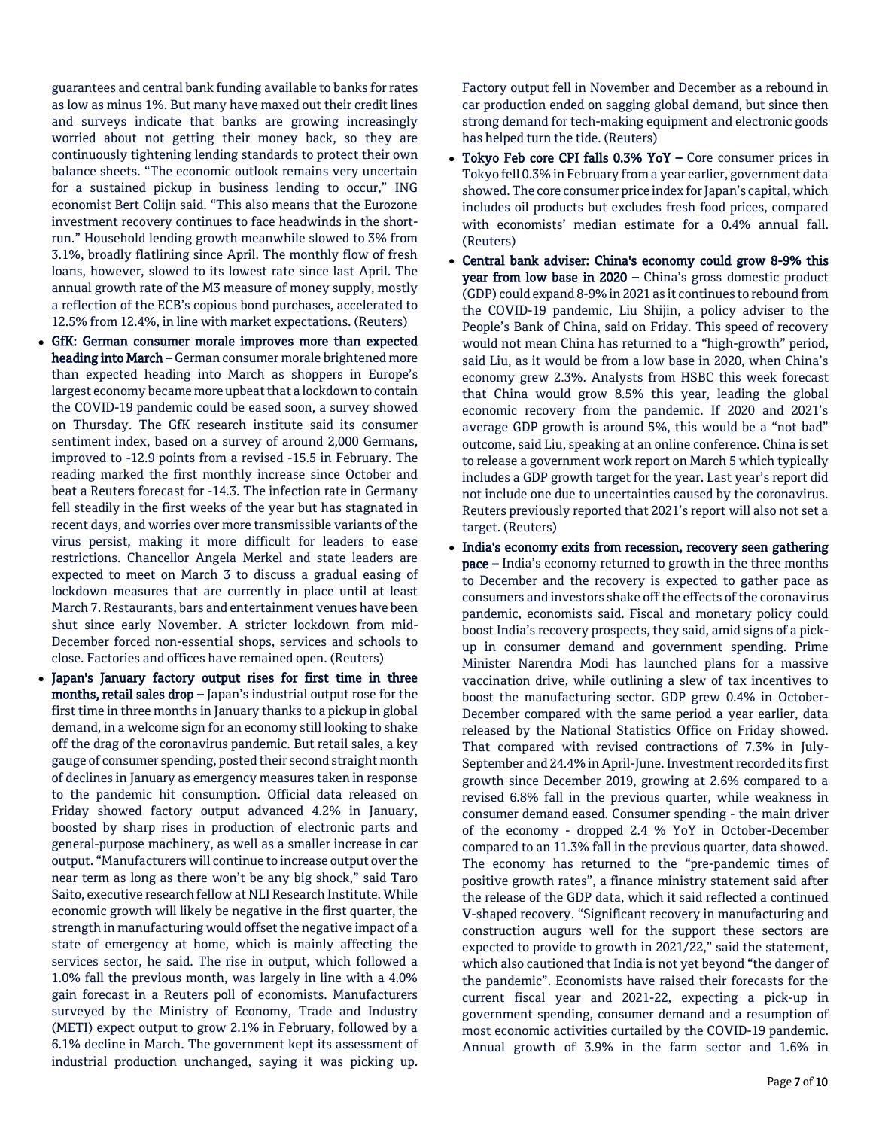guarantees and central bank funding available to banks for rates as low as minus 1%. But many have maxed out their credit lines and surveys indicate that banks are growing increasingly worried about not getting their money back, so they are continuously tightening lending standards to protect their own balance sheets. "The economic outlook remains very uncertain for a sustained pickup in business lending to occur," ING economist Bert Colijn said. "This also means that the Eurozone investment recovery continues to face headwinds in the shortrun." Household lending growth meanwhile slowed to 3% from 3.1%, broadly flatlining since April. The monthly flow of fresh loans, however, slowed to its lowest rate since last April. The annual growth rate of the M3 measure of money supply, mostly a reflection of the ECB's copious bond purchases, accelerated to 12.5% from 12.4%, in line with market expectations. (Reuters)

- GfK: German consumer morale improves more than expected heading into March – German consumer morale brightened more than expected heading into March as shoppers in Europe's largest economy became more upbeat that a lockdown to contain the COVID-19 pandemic could be eased soon, a survey showed on Thursday. The GfK research institute said its consumer sentiment index, based on a survey of around 2,000 Germans, improved to -12.9 points from a revised -15.5 in February. The reading marked the first monthly increase since October and beat a Reuters forecast for -14.3. The infection rate in Germany fell steadily in the first weeks of the year but has stagnated in recent days, and worries over more transmissible variants of the virus persist, making it more difficult for leaders to ease restrictions. Chancellor Angela Merkel and state leaders are expected to meet on March 3 to discuss a gradual easing of lockdown measures that are currently in place until at least March 7. Restaurants, bars and entertainment venues have been shut since early November. A stricter lockdown from mid-December forced non-essential shops, services and schools to close. Factories and offices have remained open. (Reuters)
- Japan's January factory output rises for first time in three months, retail sales drop – Japan's industrial output rose for the first time in three months in January thanks to a pickup in global demand, in a welcome sign for an economy still looking to shake off the drag of the coronavirus pandemic. But retail sales, a key gauge of consumer spending, posted their second straight month of declines in January as emergency measures taken in response to the pandemic hit consumption. Official data released on Friday showed factory output advanced 4.2% in January, boosted by sharp rises in production of electronic parts and general-purpose machinery, as well as a smaller increase in car output. "Manufacturers will continue to increase output over the near term as long as there won't be any big shock," said Taro Saito, executive research fellow at NLI Research Institute. While economic growth will likely be negative in the first quarter, the strength in manufacturing would offset the negative impact of a state of emergency at home, which is mainly affecting the services sector, he said. The rise in output, which followed a 1.0% fall the previous month, was largely in line with a 4.0% gain forecast in a Reuters poll of economists. Manufacturers surveyed by the Ministry of Economy, Trade and Industry (METI) expect output to grow 2.1% in February, followed by a 6.1% decline in March. The government kept its assessment of industrial production unchanged, saying it was picking up.

Factory output fell in November and December as a rebound in car production ended on sagging global demand, but since then strong demand for tech-making equipment and electronic goods has helped turn the tide. (Reuters)

- Tokyo Feb core CPI falls 0.3% YoY Core consumer prices in Tokyo fell 0.3% in February from a year earlier, government data showed. The core consumer price index for Japan's capital, which includes oil products but excludes fresh food prices, compared with economists' median estimate for a 0.4% annual fall. (Reuters)
- Central bank adviser: China's economy could grow 8-9% this year from low base in 2020 – China's gross domestic product (GDP) could expand 8-9% in 2021 as it continues to rebound from the COVID-19 pandemic, Liu Shijin, a policy adviser to the People's Bank of China, said on Friday. This speed of recovery would not mean China has returned to a "high-growth" period, said Liu, as it would be from a low base in 2020, when China's economy grew 2.3%. Analysts from HSBC this week forecast that China would grow 8.5% this year, leading the global economic recovery from the pandemic. If 2020 and 2021's average GDP growth is around 5%, this would be a "not bad" outcome, said Liu, speaking at an online conference. China is set to release a government work report on March 5 which typically includes a GDP growth target for the year. Last year's report did not include one due to uncertainties caused by the coronavirus. Reuters previously reported that 2021's report will also not set a target. (Reuters)
- India's economy exits from recession, recovery seen gathering pace – India's economy returned to growth in the three months to December and the recovery is expected to gather pace as consumers and investors shake off the effects of the coronavirus pandemic, economists said. Fiscal and monetary policy could boost India's recovery prospects, they said, amid signs of a pickup in consumer demand and government spending. Prime Minister Narendra Modi has launched plans for a massive vaccination drive, while outlining a slew of tax incentives to boost the manufacturing sector. GDP grew 0.4% in October-December compared with the same period a year earlier, data released by the National Statistics Office on Friday showed. That compared with revised contractions of 7.3% in July-September and 24.4% in April-June. Investment recorded its first growth since December 2019, growing at 2.6% compared to a revised 6.8% fall in the previous quarter, while weakness in consumer demand eased. Consumer spending - the main driver of the economy - dropped 2.4 % YoY in October-December compared to an 11.3% fall in the previous quarter, data showed. The economy has returned to the "pre-pandemic times of positive growth rates", a finance ministry statement said after the release of the GDP data, which it said reflected a continued V-shaped recovery. "Significant recovery in manufacturing and construction augurs well for the support these sectors are expected to provide to growth in 2021/22," said the statement, which also cautioned that India is not yet beyond "the danger of the pandemic". Economists have raised their forecasts for the current fiscal year and 2021-22, expecting a pick-up in government spending, consumer demand and a resumption of most economic activities curtailed by the COVID-19 pandemic. Annual growth of 3.9% in the farm sector and 1.6% in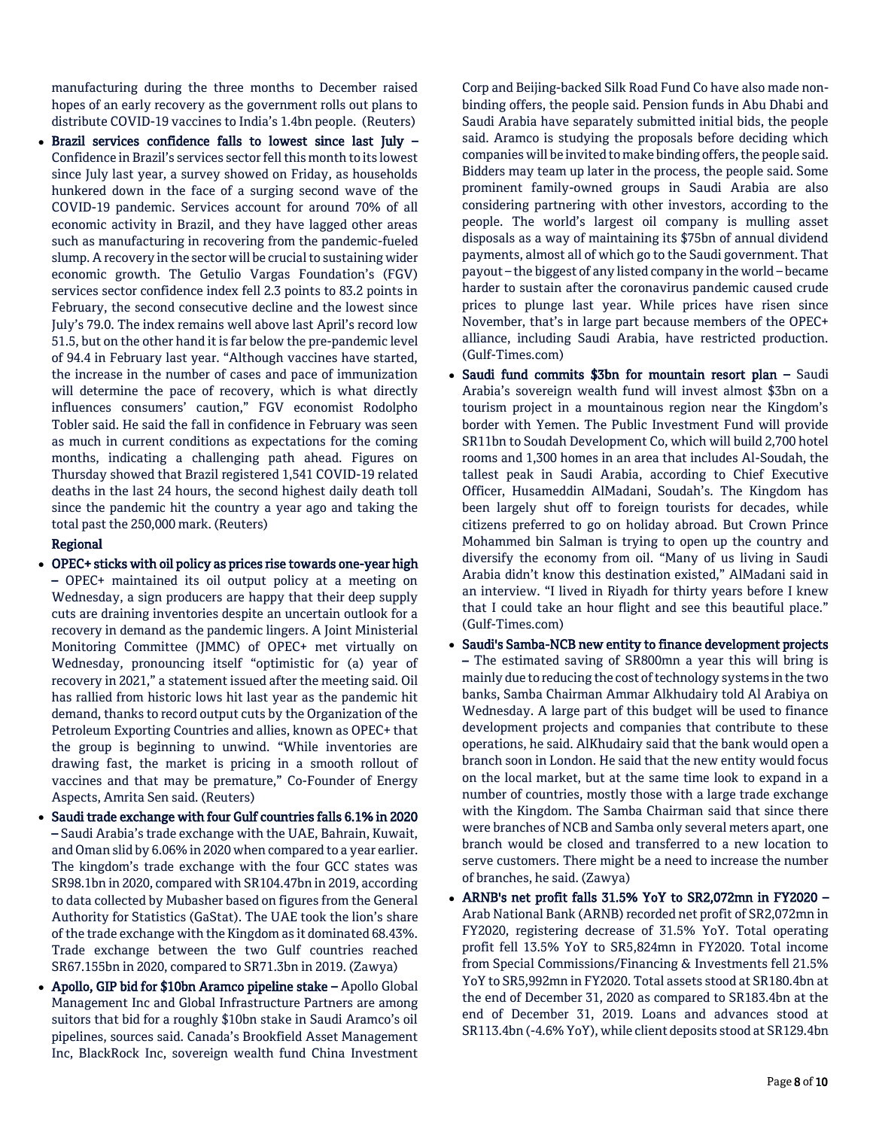manufacturing during the three months to December raised hopes of an early recovery as the government rolls out plans to distribute COVID-19 vaccines to India's 1.4bn people. (Reuters)

 $\bullet$  Brazil services confidence falls to lowest since last July  $-$ Confidence in Brazil's services sector fell this month to its lowest since July last year, a survey showed on Friday, as households hunkered down in the face of a surging second wave of the COVID-19 pandemic. Services account for around 70% of all economic activity in Brazil, and they have lagged other areas such as manufacturing in recovering from the pandemic-fueled slump. A recovery in the sector will be crucial to sustaining wider economic growth. The Getulio Vargas Foundation's (FGV) services sector confidence index fell 2.3 points to 83.2 points in February, the second consecutive decline and the lowest since July's 79.0. The index remains well above last April's record low 51.5, but on the other hand it is far below the pre-pandemic level of 94.4 in February last year. "Although vaccines have started, the increase in the number of cases and pace of immunization will determine the pace of recovery, which is what directly influences consumers' caution," FGV economist Rodolpho Tobler said. He said the fall in confidence in February was seen as much in current conditions as expectations for the coming months, indicating a challenging path ahead. Figures on Thursday showed that Brazil registered 1,541 COVID-19 related deaths in the last 24 hours, the second highest daily death toll since the pandemic hit the country a year ago and taking the total past the 250,000 mark. (Reuters)

# Regional

- OPEC+ sticks with oil policy as prices rise towards one-year high – OPEC+ maintained its oil output policy at a meeting on Wednesday, a sign producers are happy that their deep supply cuts are draining inventories despite an uncertain outlook for a recovery in demand as the pandemic lingers. A Joint Ministerial Monitoring Committee (JMMC) of OPEC+ met virtually on Wednesday, pronouncing itself "optimistic for (a) year of recovery in 2021," a statement issued after the meeting said. Oil has rallied from historic lows hit last year as the pandemic hit demand, thanks to record output cuts by the Organization of the Petroleum Exporting Countries and allies, known as OPEC+ that the group is beginning to unwind. "While inventories are drawing fast, the market is pricing in a smooth rollout of vaccines and that may be premature," Co-Founder of Energy Aspects, Amrita Sen said. (Reuters)
- Saudi trade exchange with four Gulf countries falls 6.1% in 2020 – Saudi Arabia's trade exchange with the UAE, Bahrain, Kuwait, and Oman slid by 6.06% in 2020 when compared to a year earlier. The kingdom's trade exchange with the four GCC states was SR98.1bn in 2020, compared with SR104.47bn in 2019, according to data collected by Mubasher based on figures from the General Authority for Statistics (GaStat). The UAE took the lion's share of the trade exchange with the Kingdom as it dominated 68.43%. Trade exchange between the two Gulf countries reached SR67.155bn in 2020, compared to SR71.3bn in 2019. (Zawya)
- Apollo, GIP bid for \$10bn Aramco pipeline stake Apollo Global Management Inc and Global Infrastructure Partners are among suitors that bid for a roughly \$10bn stake in Saudi Aramco's oil pipelines, sources said. Canada's Brookfield Asset Management Inc, BlackRock Inc, sovereign wealth fund China Investment

Corp and Beijing-backed Silk Road Fund Co have also made nonbinding offers, the people said. Pension funds in Abu Dhabi and Saudi Arabia have separately submitted initial bids, the people said. Aramco is studying the proposals before deciding which companies will be invited to make binding offers, the people said. Bidders may team up later in the process, the people said. Some prominent family-owned groups in Saudi Arabia are also considering partnering with other investors, according to the people. The world's largest oil company is mulling asset disposals as a way of maintaining its \$75bn of annual dividend payments, almost all of which go to the Saudi government. That payout – the biggest of any listed company in the world – became harder to sustain after the coronavirus pandemic caused crude prices to plunge last year. While prices have risen since November, that's in large part because members of the OPEC+ alliance, including Saudi Arabia, have restricted production. (Gulf-Times.com)

- Saudi fund commits \$3bn for mountain resort plan Saudi Arabia's sovereign wealth fund will invest almost \$3bn on a tourism project in a mountainous region near the Kingdom's border with Yemen. The Public Investment Fund will provide SR11bn to Soudah Development Co, which will build 2,700 hotel rooms and 1,300 homes in an area that includes Al-Soudah, the tallest peak in Saudi Arabia, according to Chief Executive Officer, Husameddin AlMadani, Soudah's. The Kingdom has been largely shut off to foreign tourists for decades, while citizens preferred to go on holiday abroad. But Crown Prince Mohammed bin Salman is trying to open up the country and diversify the economy from oil. "Many of us living in Saudi Arabia didn't know this destination existed," AlMadani said in an interview. "I lived in Riyadh for thirty years before I knew that I could take an hour flight and see this beautiful place." (Gulf-Times.com)
- Saudi's Samba-NCB new entity to finance development projects – The estimated saving of SR800mn a year this will bring is mainly due to reducing the cost of technology systems in the two banks, Samba Chairman Ammar Alkhudairy told Al Arabiya on Wednesday. A large part of this budget will be used to finance development projects and companies that contribute to these operations, he said. AlKhudairy said that the bank would open a branch soon in London. He said that the new entity would focus on the local market, but at the same time look to expand in a number of countries, mostly those with a large trade exchange with the Kingdom. The Samba Chairman said that since there were branches of NCB and Samba only several meters apart, one branch would be closed and transferred to a new location to serve customers. There might be a need to increase the number of branches, he said. (Zawya)
- ARNB's net profit falls 31.5% YoY to SR2,072mn in FY2020 Arab National Bank (ARNB) recorded net profit of SR2,072mn in FY2020, registering decrease of 31.5% YoY. Total operating profit fell 13.5% YoY to SR5,824mn in FY2020. Total income from Special Commissions/Financing & Investments fell 21.5% YoY to SR5,992mn in FY2020. Total assets stood at SR180.4bn at the end of December 31, 2020 as compared to SR183.4bn at the end of December 31, 2019. Loans and advances stood at SR113.4bn (-4.6% YoY), while client deposits stood at SR129.4bn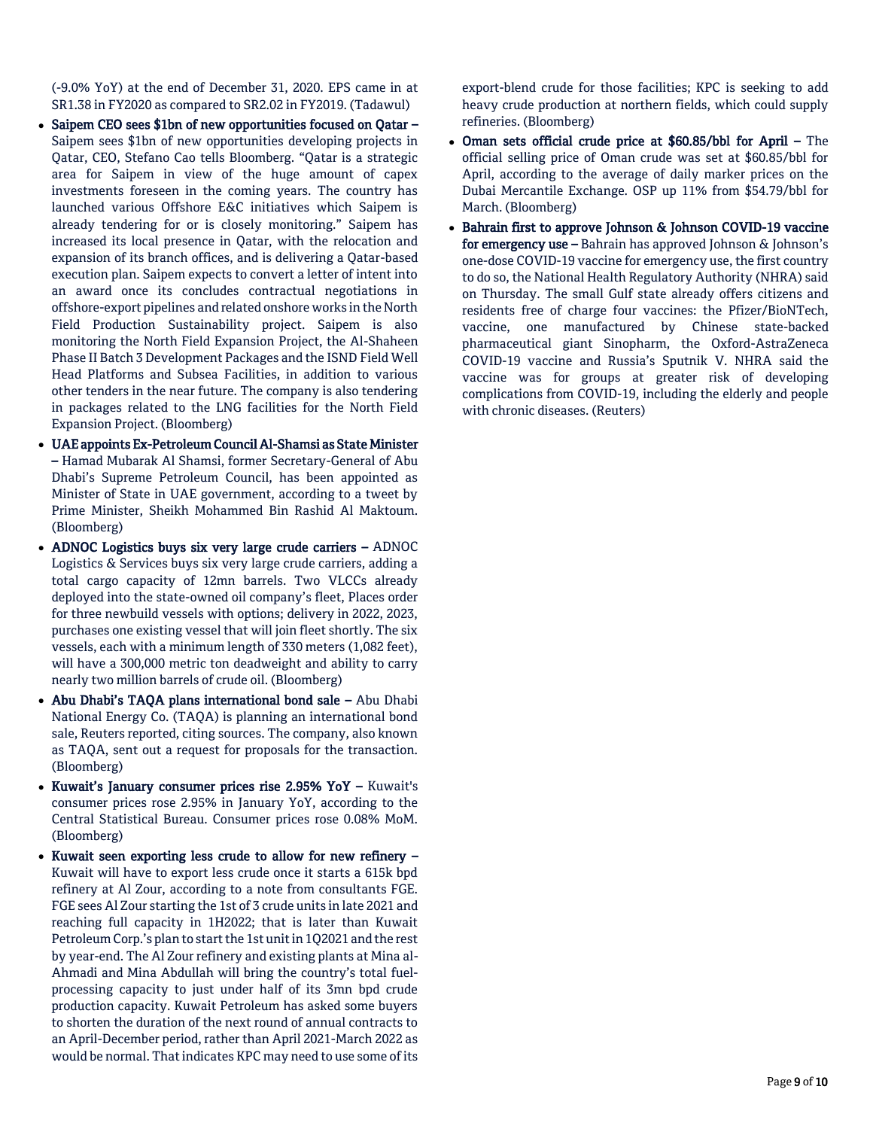(-9.0% YoY) at the end of December 31, 2020. EPS came in at SR1.38 in FY2020 as compared to SR2.02 in FY2019. (Tadawul)

- Saipem CEO sees \$1bn of new opportunities focused on Qatar Saipem sees \$1bn of new opportunities developing projects in Qatar, CEO, Stefano Cao tells Bloomberg. "Qatar is a strategic area for Saipem in view of the huge amount of capex investments foreseen in the coming years. The country has launched various Offshore E&C initiatives which Saipem is already tendering for or is closely monitoring." Saipem has increased its local presence in Qatar, with the relocation and expansion of its branch offices, and is delivering a Qatar-based execution plan. Saipem expects to convert a letter of intent into an award once its concludes contractual negotiations in offshore-export pipelines and related onshore works in the North Field Production Sustainability project. Saipem is also monitoring the North Field Expansion Project, the Al-Shaheen Phase II Batch 3 Development Packages and the ISND Field Well Head Platforms and Subsea Facilities, in addition to various other tenders in the near future. The company is also tendering in packages related to the LNG facilities for the North Field Expansion Project. (Bloomberg)
- UAE appoints Ex-Petroleum Council Al-Shamsi as State Minister – Hamad Mubarak Al Shamsi, former Secretary-General of Abu Dhabi's Supreme Petroleum Council, has been appointed as Minister of State in UAE government, according to a tweet by Prime Minister, Sheikh Mohammed Bin Rashid Al Maktoum. (Bloomberg)
- ADNOC Logistics buys six very large crude carriers ADNOC Logistics & Services buys six very large crude carriers, adding a total cargo capacity of 12mn barrels. Two VLCCs already deployed into the state-owned oil company's fleet, Places order for three newbuild vessels with options; delivery in 2022, 2023, purchases one existing vessel that will join fleet shortly. The six vessels, each with a minimum length of 330 meters (1,082 feet), will have a 300,000 metric ton deadweight and ability to carry nearly two million barrels of crude oil. (Bloomberg)
- Abu Dhabi's TAQA plans international bond sale Abu Dhabi National Energy Co. (TAQA) is planning an international bond sale, Reuters reported, citing sources. The company, also known as TAQA, sent out a request for proposals for the transaction. (Bloomberg)
- Kuwait's January consumer prices rise 2.95% YoY Kuwait's consumer prices rose 2.95% in January YoY, according to the Central Statistical Bureau. Consumer prices rose 0.08% MoM. (Bloomberg)
- Kuwait seen exporting less crude to allow for new refinery Kuwait will have to export less crude once it starts a 615k bpd refinery at Al Zour, according to a note from consultants FGE. FGE sees Al Zour starting the 1st of 3 crude units in late 2021 and reaching full capacity in 1H2022; that is later than Kuwait Petroleum Corp.'s plan to start the 1st unit in 1Q2021 and the rest by year-end. The Al Zour refinery and existing plants at Mina al-Ahmadi and Mina Abdullah will bring the country's total fuelprocessing capacity to just under half of its 3mn bpd crude production capacity. Kuwait Petroleum has asked some buyers to shorten the duration of the next round of annual contracts to an April-December period, rather than April 2021-March 2022 as would be normal. That indicates KPC may need to use some of its

export-blend crude for those facilities; KPC is seeking to add heavy crude production at northern fields, which could supply refineries. (Bloomberg)

- Oman sets official crude price at \$60.85/bbl for April The official selling price of Oman crude was set at \$60.85/bbl for April, according to the average of daily marker prices on the Dubai Mercantile Exchange. OSP up 11% from \$54.79/bbl for March. (Bloomberg)
- Bahrain first to approve Johnson & Johnson COVID-19 vaccine for emergency use - Bahrain has approved Johnson & Johnson's one-dose COVID-19 vaccine for emergency use, the first country to do so, the National Health Regulatory Authority (NHRA) said on Thursday. The small Gulf state already offers citizens and residents free of charge four vaccines: the Pfizer/BioNTech, vaccine, one manufactured by Chinese state-backed pharmaceutical giant Sinopharm, the Oxford-AstraZeneca COVID-19 vaccine and Russia's Sputnik V. NHRA said the vaccine was for groups at greater risk of developing complications from COVID-19, including the elderly and people with chronic diseases. (Reuters)